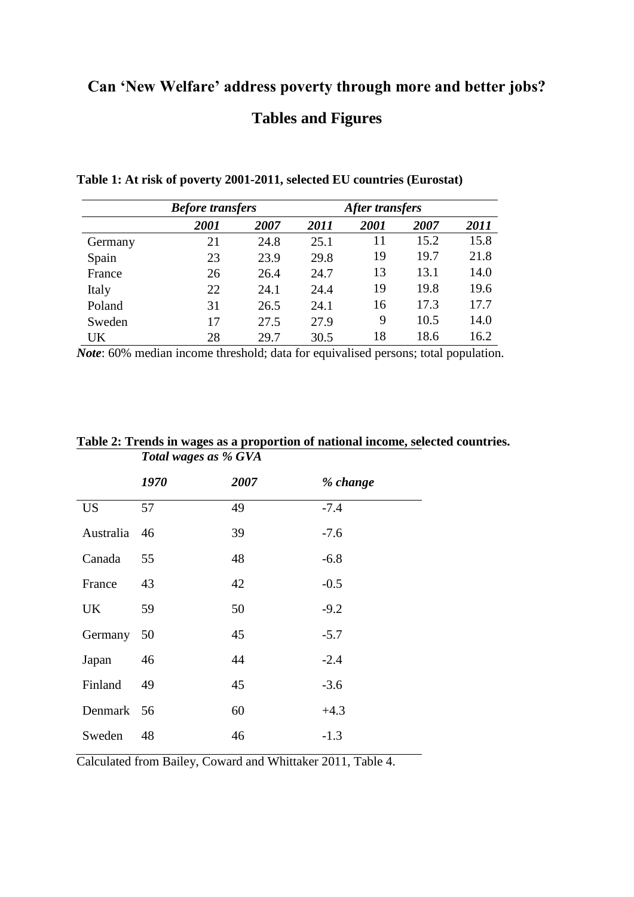## **Can 'New Welfare' address poverty through more and better jobs? Tables and Figures**

|         |      | <b>Before transfers</b> |             |      | After transfers |      |  |
|---------|------|-------------------------|-------------|------|-----------------|------|--|
|         | 2001 | 2007                    | <i>2011</i> | 2001 | 2007            | 2011 |  |
| Germany | 21   | 24.8                    | 25.1        | 11   | 15.2            | 15.8 |  |
| Spain   | 23   | 23.9                    | 29.8        | 19   | 19.7            | 21.8 |  |
| France  | 26   | 26.4                    | 24.7        | 13   | 13.1            | 14.0 |  |
| Italy   | 22   | 24.1                    | 24.4        | 19   | 19.8            | 19.6 |  |
| Poland  | 31   | 26.5                    | 24.1        | 16   | 17.3            | 17.7 |  |
| Sweden  | 17   | 27.5                    | 27.9        | 9    | 10.5            | 14.0 |  |
| UK      | 28   | 29.7                    | 30.5        | 18   | 18.6            | 16.2 |  |

**Table 1: At risk of poverty 2001-2011, selected EU countries (Eurostat)**

*Note*: 60% median income threshold; data for equivalised persons; total population.

|            | 1970 | 2007 | % change |
|------------|------|------|----------|
| <b>US</b>  | 57   | 49   | $-7.4$   |
| Australia  | 46   | 39   | $-7.6$   |
| Canada     | 55   | 48   | $-6.8$   |
| France     | 43   | 42   | $-0.5$   |
| UK.        | 59   | 50   | $-9.2$   |
| Germany    | 50   | 45   | $-5.7$   |
| Japan      | 46   | 44   | $-2.4$   |
| Finland    | 49   | 45   | $-3.6$   |
| Denmark 56 |      | 60   | $+4.3$   |
| Sweden     | 48   | 46   | $-1.3$   |

**Table 2: Trends in wages as a proportion of national income, selected countries.** *Total wages as % GVA*

Calculated from Bailey, Coward and Whittaker 2011, Table 4.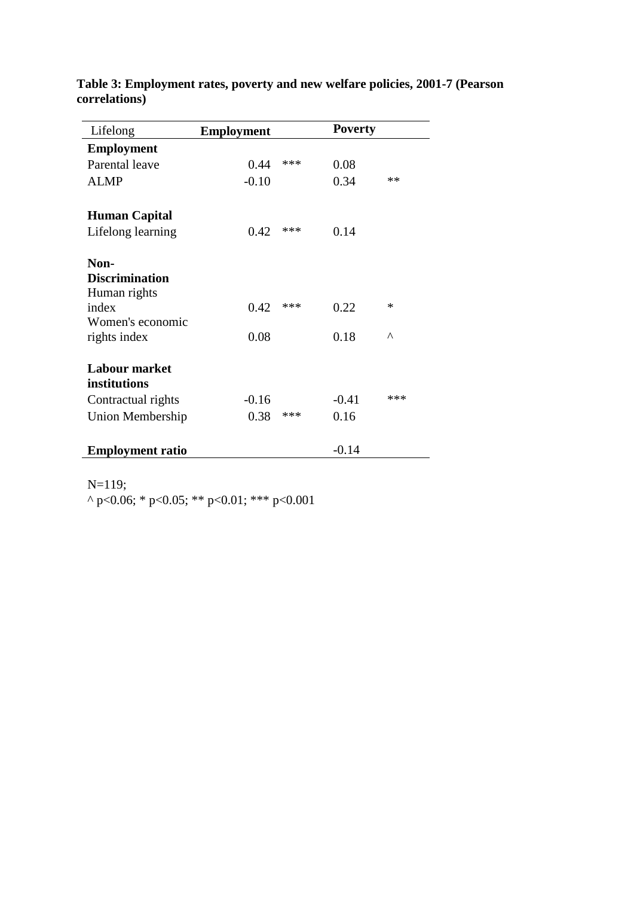| Lifelong                                                                                   | <b>Employment</b> |       | <b>Poverty</b> |               |
|--------------------------------------------------------------------------------------------|-------------------|-------|----------------|---------------|
| <b>Employment</b>                                                                          |                   |       |                |               |
| Parental leave                                                                             | 0.44              | ***   | 0.08           |               |
| <b>ALMP</b>                                                                                | $-0.10$           |       | 0.34           | $**$          |
| <b>Human Capital</b>                                                                       |                   |       |                |               |
| Lifelong learning                                                                          | 0.42              | $***$ | 0.14           |               |
| Non-<br><b>Discrimination</b><br>Human rights<br>index<br>Women's economic<br>rights index | 0.42<br>0.08      | ***   | 0.22<br>0.18   | *<br>$\wedge$ |
| <b>Labour market</b><br>institutions                                                       |                   |       |                |               |
| Contractual rights                                                                         | $-0.16$           |       | $-0.41$        | ***           |
| Union Membership                                                                           | 0.38              | ***   | 0.16           |               |
| <b>Employment ratio</b>                                                                    |                   |       | $-0.14$        |               |

**Table 3: Employment rates, poverty and new welfare policies, 2001-7 (Pearson correlations)**

N=119;

^ p<0.06; \* p<0.05; \*\* p<0.01; \*\*\* p<0.001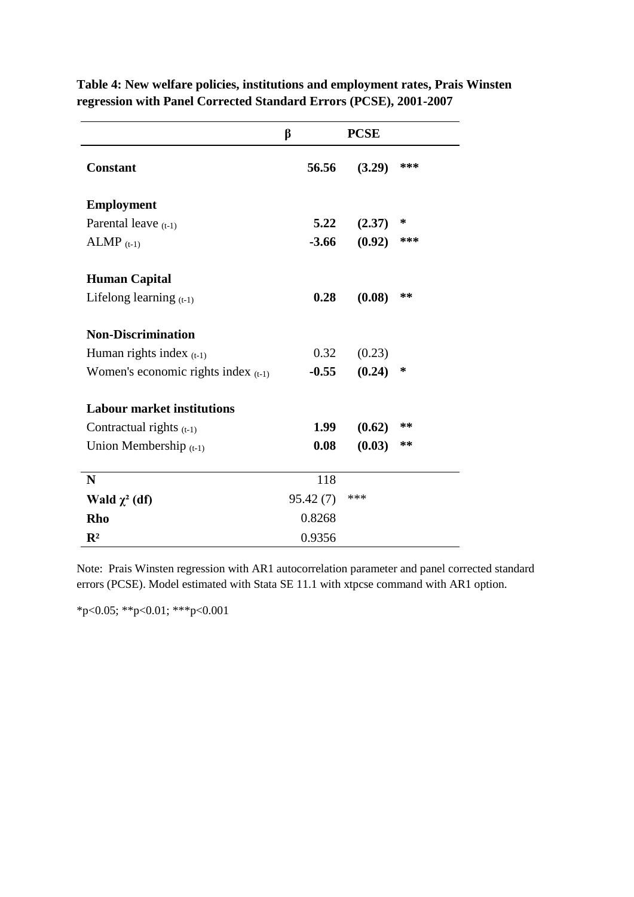|                                       | β        | <b>PCSE</b> |     |
|---------------------------------------|----------|-------------|-----|
| <b>Constant</b>                       | 56.56    | (3.29)      | *** |
| <b>Employment</b>                     |          |             |     |
| Parental leave $(t-1)$                | 5.22     | (2.37)      | ∗   |
| $ALMP$ (t-1)                          | $-3.66$  | (0.92)      | *** |
| <b>Human Capital</b>                  |          |             |     |
| Lifelong learning $(t-1)$             | 0.28     | (0.08)      | **  |
| <b>Non-Discrimination</b>             |          |             |     |
| Human rights index $(t-1)$            | 0.32     | (0.23)      |     |
| Women's economic rights index $(t-1)$ | $-0.55$  | (0.24)      | ∗   |
| <b>Labour market institutions</b>     |          |             |     |
| Contractual rights $(t-1)$            | 1.99     | (0.62)      | **  |
| Union Membership $(t-1)$              | 0.08     | (0.03)      | **  |
| N                                     | 118      |             |     |
| Wald $\chi^2$ (df)                    | 95.42(7) | ***         |     |
| Rho                                   | 0.8268   |             |     |
| $\mathbb{R}^2$                        | 0.9356   |             |     |

**Table 4: New welfare policies, institutions and employment rates, Prais Winsten regression with Panel Corrected Standard Errors (PCSE), 2001-2007**

Note: Prais Winsten regression with AR1 autocorrelation parameter and panel corrected standard errors (PCSE). Model estimated with Stata SE 11.1 with xtpcse command with AR1 option.

\*p<0.05; \*\*p<0.01; \*\*\*p<0.001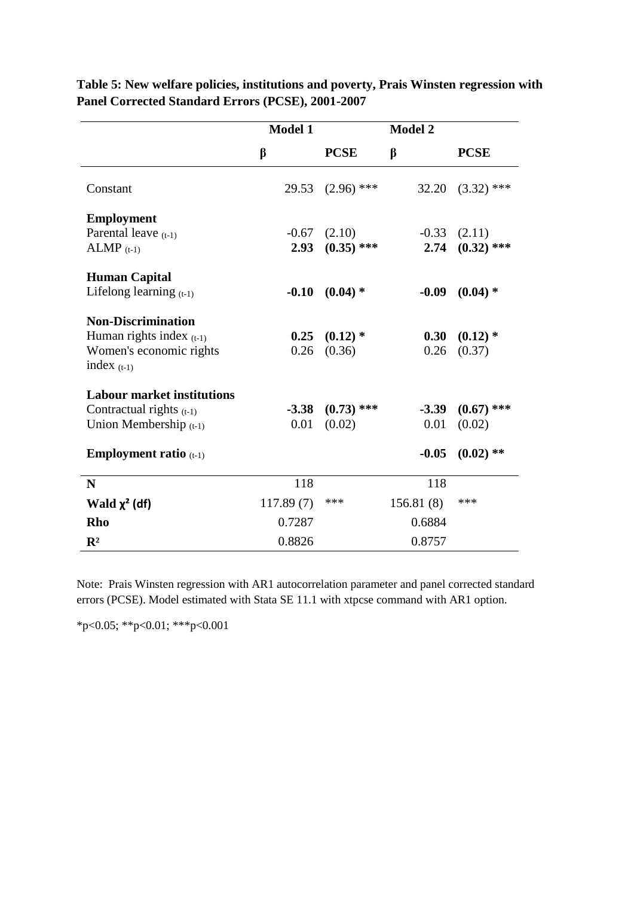|                                   | <b>Model 1</b> | <b>Model 2</b> |           |              |
|-----------------------------------|----------------|----------------|-----------|--------------|
|                                   | β              | <b>PCSE</b>    | β         | <b>PCSE</b>  |
| Constant                          | 29.53          | $(2.96)$ ***   | 32.20     | $(3.32)$ *** |
| <b>Employment</b>                 |                |                |           |              |
| Parental leave $(t-1)$            | $-0.67$        | (2.10)         | $-0.33$   | (2.11)       |
| $ALMP$ (t-1)                      | 2.93           | $(0.35)$ ***   | 2.74      | $(0.32)$ *** |
| <b>Human Capital</b>              |                |                |           |              |
| Lifelong learning $(t-1)$         | $-0.10$        | $(0.04)$ *     | $-0.09$   | $(0.04)$ *   |
| <b>Non-Discrimination</b>         |                |                |           |              |
| Human rights index $(t-1)$        | 0.25           | $(0.12)$ *     | 0.30      | $(0.12)$ *   |
| Women's economic rights           | 0.26           | (0.36)         | 0.26      | (0.37)       |
| index $(t-1)$                     |                |                |           |              |
| <b>Labour market institutions</b> |                |                |           |              |
| Contractual rights $(t-1)$        | $-3.38$        | $(0.73)$ ***   | $-3.39$   | $(0.67)$ *** |
| Union Membership $(t-1)$          | 0.01           | (0.02)         | 0.01      | (0.02)       |
| <b>Employment ratio</b> $(t-1)$   |                |                | $-0.05$   | $(0.02)$ **  |
| N                                 | 118            |                | 118       |              |
| Wald $\chi^2$ (df)                | 117.89(7)      | ***            | 156.81(8) | ***          |
| Rho                               | 0.7287         |                | 0.6884    |              |
| $\mathbf{R}^2$                    | 0.8826         |                | 0.8757    |              |

**Table 5: New welfare policies, institutions and poverty, Prais Winsten regression with Panel Corrected Standard Errors (PCSE), 2001-2007**

Note: Prais Winsten regression with AR1 autocorrelation parameter and panel corrected standard errors (PCSE). Model estimated with Stata SE 11.1 with xtpcse command with AR1 option.

\*p<0.05; \*\*p<0.01; \*\*\*p<0.001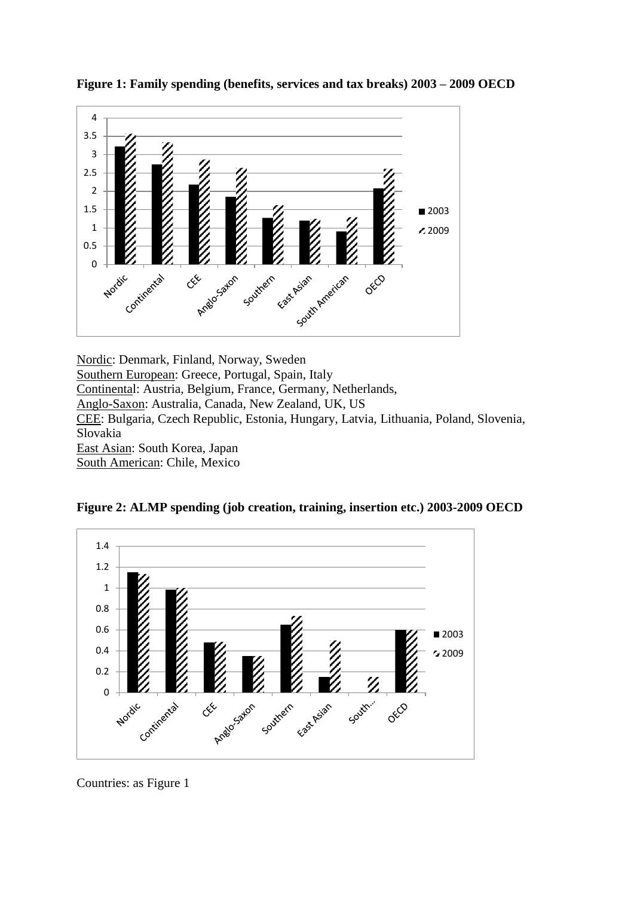

**Figure 1: Family spending (benefits, services and tax breaks) 2003 – 2009 OECD**

Nordic: Denmark, Finland, Norway, Sweden Southern European: Greece, Portugal, Spain, Italy Continental: Austria, Belgium, France, Germany, Netherlands, Anglo-Saxon: Australia, Canada, New Zealand, UK, US CEE: Bulgaria, Czech Republic, Estonia, Hungary, Latvia, Lithuania, Poland, Slovenia, Slovakia East Asian: South Korea, Japan South American: Chile, Mexico

**Figure 2: ALMP spending (job creation, training, insertion etc.) 2003-2009 OECD**



Countries: as Figure 1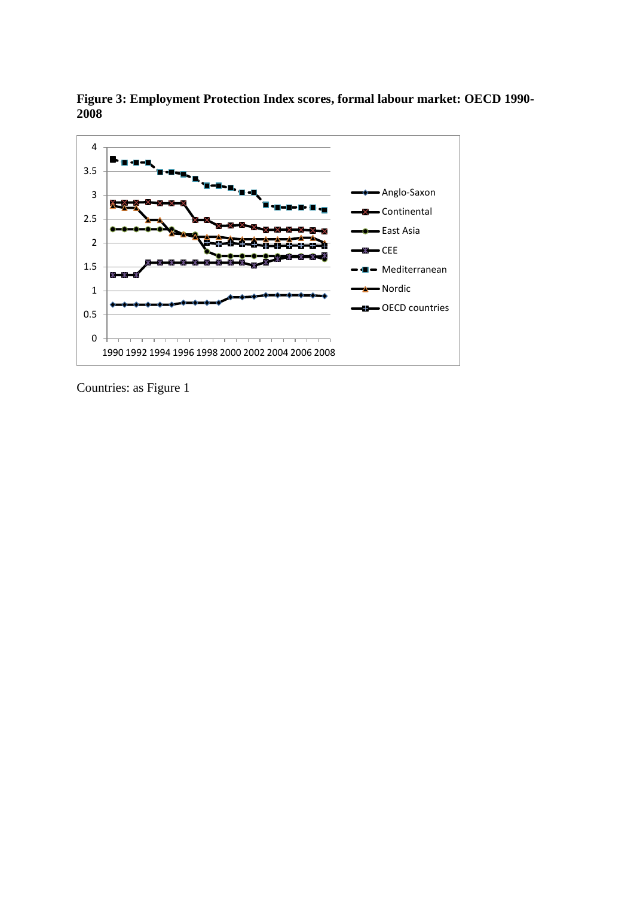

**Figure 3: Employment Protection Index scores, formal labour market: OECD 1990- 2008**

Countries: as Figure 1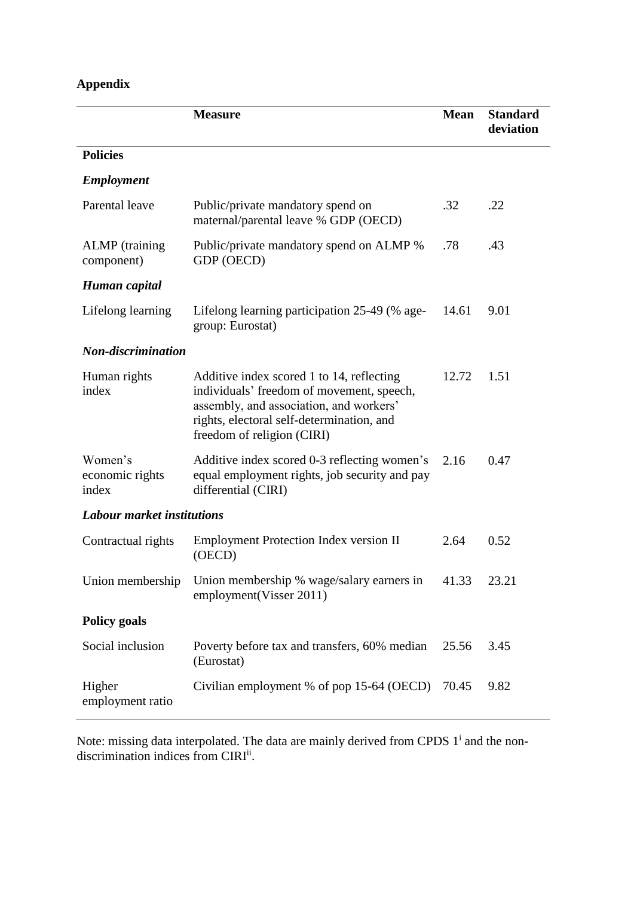## **Appendix**

|                                     | <b>Measure</b>                                                                                                                                                                                               | <b>Mean</b> | <b>Standard</b><br>deviation |
|-------------------------------------|--------------------------------------------------------------------------------------------------------------------------------------------------------------------------------------------------------------|-------------|------------------------------|
| <b>Policies</b>                     |                                                                                                                                                                                                              |             |                              |
| <b>Employment</b>                   |                                                                                                                                                                                                              |             |                              |
| Parental leave                      | Public/private mandatory spend on<br>maternal/parental leave % GDP (OECD)                                                                                                                                    | .32         | .22                          |
| <b>ALMP</b> (training<br>component) | Public/private mandatory spend on ALMP %<br>GDP (OECD)                                                                                                                                                       | .78         | .43                          |
| Human capital                       |                                                                                                                                                                                                              |             |                              |
| Lifelong learning                   | Lifelong learning participation 25-49 (% age-<br>group: Eurostat)                                                                                                                                            | 14.61       | 9.01                         |
| <b>Non-discrimination</b>           |                                                                                                                                                                                                              |             |                              |
| Human rights<br>index               | Additive index scored 1 to 14, reflecting<br>individuals' freedom of movement, speech,<br>assembly, and association, and workers'<br>rights, electoral self-determination, and<br>freedom of religion (CIRI) | 12.72       | 1.51                         |
| Women's<br>economic rights<br>index | Additive index scored 0-3 reflecting women's<br>equal employment rights, job security and pay<br>differential (CIRI)                                                                                         | 2.16        | 0.47                         |
| <b>Labour market institutions</b>   |                                                                                                                                                                                                              |             |                              |
| Contractual rights                  | <b>Employment Protection Index version II</b><br>(OECD)                                                                                                                                                      | 2.64        | 0.52                         |
|                                     | Union membership Union membership % wage/salary earners in 41.33<br>employment (Visser 2011)                                                                                                                 |             | 23.21                        |
| <b>Policy goals</b>                 |                                                                                                                                                                                                              |             |                              |
| Social inclusion                    | Poverty before tax and transfers, 60% median<br>(Eurostat)                                                                                                                                                   | 25.56       | 3.45                         |
| Higher<br>employment ratio          | Civilian employment % of pop 15-64 (OECD)                                                                                                                                                                    | 70.45       | 9.82                         |

Note: missing data interpolated. The data are mainly derived from CPDS  $1^i$  and the nondiscrimination indices from CIRI<sup>ii</sup>.